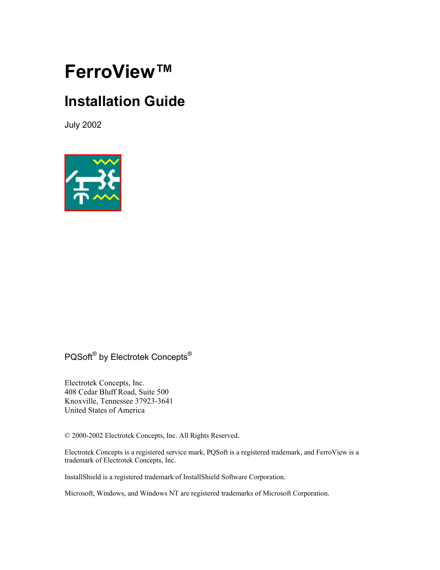# **FerroView™**

## **Installation Guide**

July 2002



## PQSoft® by Electrotek Concepts®

Electrotek Concepts, Inc. 408 Cedar Bluff Road, Suite 500 Knoxville, Tennessee 37923-3641 United States of America

© 2000-2002 Electrotek Concepts, Inc. All Rights Reserved.

Electrotek Concepts is a registered service mark, PQSoft is a registered trademark, and FerroView is a trademark of Electrotek Concepts, Inc.

InstallShield is a registered trademark of InstallShield Software Corporation.

Microsoft, Windows, and Windows NT are registered trademarks of Microsoft Corporation.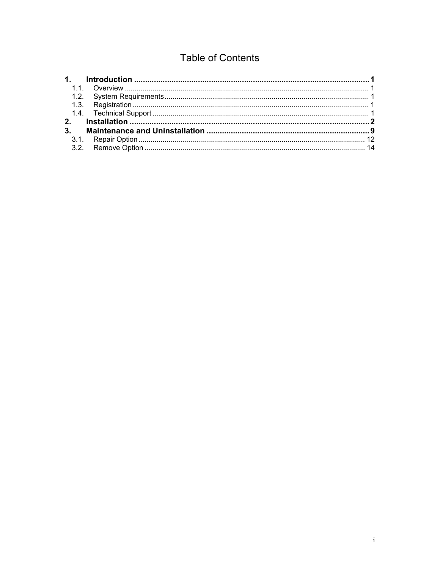## **Table of Contents**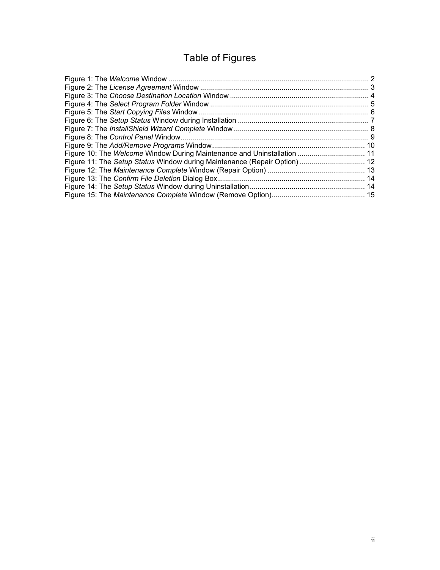## Table of Figures

| Figure 10: The Welcome Window During Maintenance and Uninstallation  11  |  |
|--------------------------------------------------------------------------|--|
| Figure 11: The Setup Status Window during Maintenance (Repair Option) 12 |  |
|                                                                          |  |
|                                                                          |  |
|                                                                          |  |
|                                                                          |  |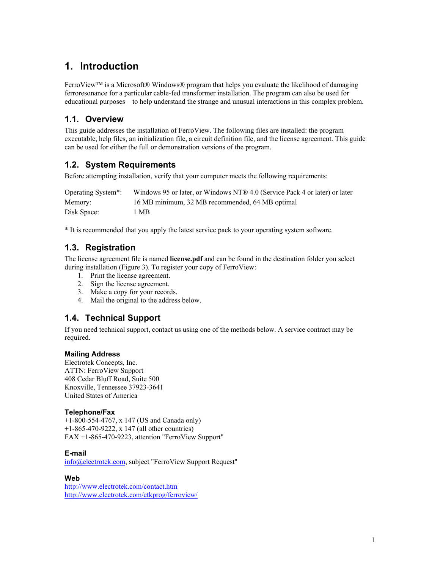## <span id="page-3-0"></span>**1. Introduction**

FerroView™ is a Microsoft® Windows® program that helps you evaluate the likelihood of damaging ferroresonance for a particular cable-fed transformer installation. The program can also be used for educational purposes—to help understand the strange and unusual interactions in this complex problem.

#### **1.1. Overview**

This guide addresses the installation of FerroView. The following files are installed: the program executable, help files, an initialization file, a circuit definition file, and the license agreement. This guide can be used for either the full or demonstration versions of the program.

#### **1.2. System Requirements**

Before attempting installation, verify that your computer meets the following requirements:

| Operating System*: | Windows 95 or later, or Windows NT® 4.0 (Service Pack 4 or later) or later |
|--------------------|----------------------------------------------------------------------------|
| Memory:            | 16 MB minimum, 32 MB recommended, 64 MB optimal                            |
| Disk Space:        | MВ                                                                         |

\* It is recommended that you apply the latest service pack to your operating system software.

#### **1.3. Registration**

The license agreement file is named **license.pdf** and can be found in the destination folder you select during installation [\(Figure 3\)](#page-6-1). To register your copy of FerroView:

- 1. Print the license agreement.
- 2. Sign the license agreement.
- 3. Make a copy for your records.
- 4. Mail the original to the address below.

#### **1.4. Technical Support**

If you need technical support, contact us using one of the methods below. A service contract may be required.

#### **Mailing Address**

Electrotek Concepts, Inc. ATTN: FerroView Support 408 Cedar Bluff Road, Suite 500 Knoxville, Tennessee 37923-3641 United States of America

#### **Telephone/Fax**

+1-800-554-4767, x 147 (US and Canada only) +1-865-470-9222, x 147 (all other countries) FAX +1-865-470-9223, attention "FerroView Support"

#### **E-mail**

[info@electrotek.com](mailto:info@electrotek.com), subject "FerroView Support Request"

#### **Web**

<http://www.electrotek.com/contact.htm> <http://www.electrotek.com/etkprog/ferroview/>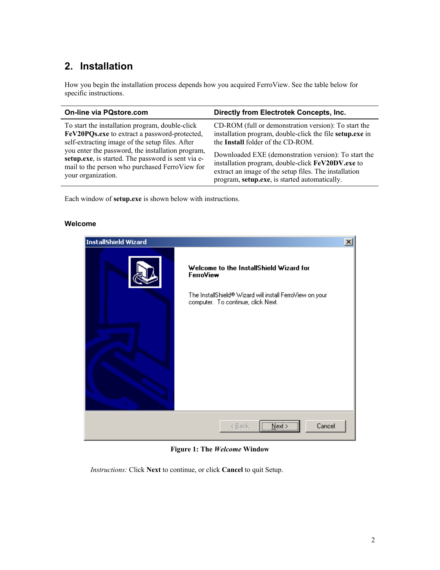## <span id="page-4-1"></span><span id="page-4-0"></span>**2. Installation**

How you begin the installation process depends how you acquired FerroView. See the table below for specific instructions.

| <b>On-line via PQstore.com</b>                     | Directly from Electrotek Concepts, Inc.                  |
|----------------------------------------------------|----------------------------------------------------------|
| To start the installation program, double-click    | CD-ROM (full or demonstration version): To start the     |
| FeV20PQs.exe to extract a password-protected,      | installation program, double-click the file setup.exe in |
| self-extracting image of the setup files. After    | the Install folder of the CD-ROM.                        |
| you enter the password, the installation program,  | Downloaded EXE (demonstration version): To start the     |
| setup.exe, is started. The password is sent via e- | installation program, double-click FeV20DV.exe to        |
| mail to the person who purchased FerroView for     | extract an image of the setup files. The installation    |
| your organization.                                 | program, setup.exe, is started automatically.            |

Each window of **setup.exe** is shown below with instructions.

#### **Welcome**



**Figure 1: The** *Welcome* **Window** 

*Instructions:* Click **Next** to continue, or click **Cancel** to quit Setup.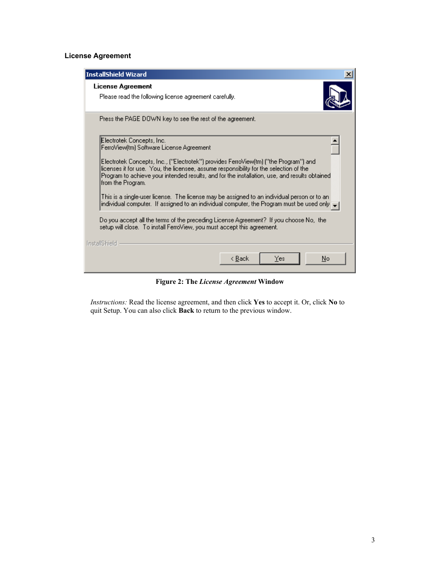#### <span id="page-5-0"></span>**License Agreement**

| <b>InstallShield Wizard</b>                                                                                                                                                                                                                                                                                                                                                                                                                                                                                                                                                                                                                                                                                                                       |
|---------------------------------------------------------------------------------------------------------------------------------------------------------------------------------------------------------------------------------------------------------------------------------------------------------------------------------------------------------------------------------------------------------------------------------------------------------------------------------------------------------------------------------------------------------------------------------------------------------------------------------------------------------------------------------------------------------------------------------------------------|
| License Agreement<br>Please read the following license agreement carefully.                                                                                                                                                                                                                                                                                                                                                                                                                                                                                                                                                                                                                                                                       |
| Press the PAGE DOWN key to see the rest of the agreement.                                                                                                                                                                                                                                                                                                                                                                                                                                                                                                                                                                                                                                                                                         |
| Electrotek Concepts, Inc.<br>FerroView[tm] Software License Agreement<br>Electrotek Concepts, Inc., ("Electrotek") provides FerroView(tm) ("the Program") and<br>licenses it for use. You, the licensee, assume responsibility for the selection of the<br>Program to achieve your intended results, and for the installation, use, and results obtained<br>from the Program.<br>This is a single-user license. The license may be assigned to an individual person or to an '<br>, individual computer. If assigned to an individual computer, the Program must be used only<br>Do you accept all the terms of the preceding License Agreement? If you choose No, the<br>setup will close. To install FerroView, you must accept this agreement. |
| InstallShield<br>No<br>< Back<br>Yes                                                                                                                                                                                                                                                                                                                                                                                                                                                                                                                                                                                                                                                                                                              |

**Figure 2: The** *License Agreement* **Window**

<span id="page-5-1"></span>*Instructions:* Read the license agreement, and then click **Yes** to accept it. Or, click **No** to quit Setup. You can also click **Back** to return to the previous window.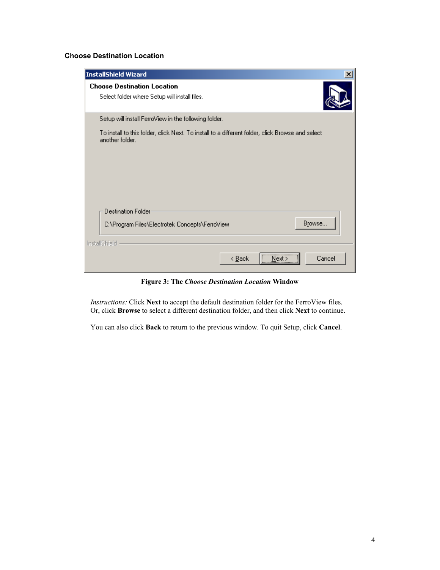#### <span id="page-6-0"></span>**Choose Destination Location**

<span id="page-6-1"></span>

| InstallShield Wizard                                                                                                |
|---------------------------------------------------------------------------------------------------------------------|
| <b>Choose Destination Location</b>                                                                                  |
| Select folder where Setup will install files.                                                                       |
| Setup will install FerroView in the following folder.                                                               |
| To install to this folder, click Next. To install to a different folder, click Browse and select<br>another folder. |
|                                                                                                                     |
|                                                                                                                     |
|                                                                                                                     |
|                                                                                                                     |
| Destination Folder                                                                                                  |
| Browse<br>C:\Program Files\Electrotek Concepts\FerroView                                                            |
| <b>InstallShield</b>                                                                                                |
| <br>Cancel<br>< <u>B</u> ack<br>Next                                                                                |

<span id="page-6-2"></span>**Figure 3: The** *Choose Destination Location* **Window** 

*Instructions:* Click **Next** to accept the default destination folder for the FerroView files. Or, click **Browse** to select a different destination folder, and then click **Next** to continue.

You can also click **Back** to [return to the previous window.](#page-5-1) To quit Setup, click **Cancel**.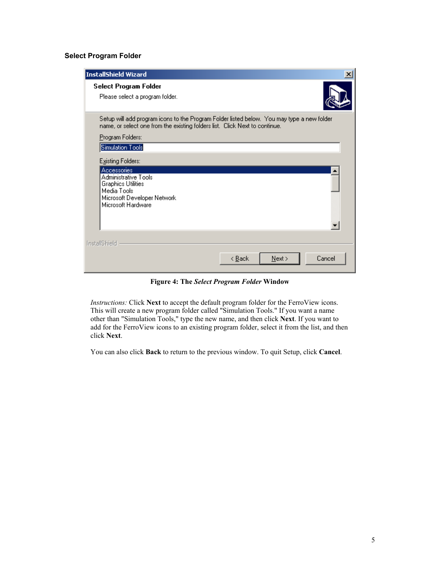#### <span id="page-7-0"></span>**Select Program Folder**

| InstallShield Wizard                                                                                                                                                      |                |      |        |
|---------------------------------------------------------------------------------------------------------------------------------------------------------------------------|----------------|------|--------|
| Select Program Folder<br>Please select a program folder.                                                                                                                  |                |      |        |
| Setup will add program icons to the Program Folder listed below. You may type a new folder<br>name, or select one from the existing folders list. Click Next to continue. |                |      |        |
| Program Folders:                                                                                                                                                          |                |      |        |
| Simulation Tools                                                                                                                                                          |                |      |        |
| Existing Folders:                                                                                                                                                         |                |      |        |
| <b>Accessories</b>                                                                                                                                                        |                |      |        |
| Administrative Tools<br><b>Graphics Utilities</b>                                                                                                                         |                |      |        |
| Media Tools                                                                                                                                                               |                |      |        |
| Microsoft Developer Network<br>Microsoft Hardware                                                                                                                         |                |      |        |
|                                                                                                                                                                           |                |      |        |
|                                                                                                                                                                           |                |      |        |
|                                                                                                                                                                           |                |      |        |
| <b>InstallShield</b>                                                                                                                                                      |                |      |        |
|                                                                                                                                                                           | < <u>B</u> ack | Next | Cancel |

**Figure 4: The** *Select Program Folder* **Window** 

*Instructions:* Click **Next** to accept the default program folder for the FerroView icons. This will create a new program folder called "Simulation Tools." If you want a name other than "Simulation Tools," type the new name, and then click **Next**. If you want to add for the FerroView icons to an existing program folder, select it from the list, and then click **Next**.

You can also click **Back** to [return to the previous window.](#page-5-1) To [quit Setup,](#page-6-2) click **Cancel**.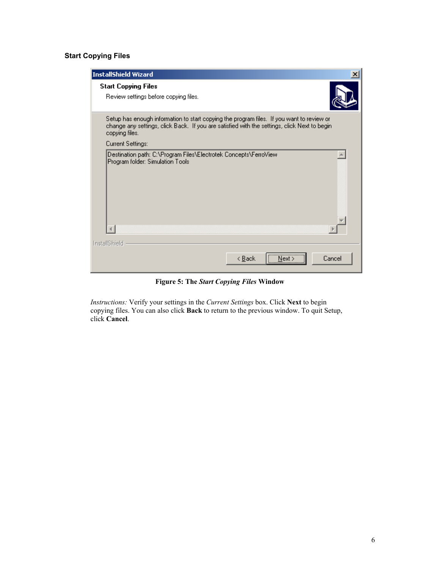#### <span id="page-8-0"></span>**Start Copying Files**

| <b>InstallShield Wizard</b>                                                                                                                                                                                 |                |
|-------------------------------------------------------------------------------------------------------------------------------------------------------------------------------------------------------------|----------------|
| <b>Start Copying Files</b><br>Review settings before copying files.                                                                                                                                         |                |
| Setup has enough information to start copying the program files. If you want to review or<br>change any settings, click Back. If you are satisfied with the settings, click Next to begin<br>copying files. |                |
| Current Settings:                                                                                                                                                                                           |                |
| Destination path: C:\Program Files\Electrotek Concepts\FerroView<br>Program folder: Simulation Tools                                                                                                        |                |
|                                                                                                                                                                                                             |                |
| <b>InstallShield</b>                                                                                                                                                                                        |                |
| < <u>B</u> ack                                                                                                                                                                                              | Cancel<br>Next |

**Figure 5: The** *Start Copying Files* **Window**

*Instructions:* Verify your settings in the *Current Settings* box. Click **Next** to begin copying files. You can also click **Back** to [return to the previous window.](#page-5-1) To [quit Setup,](#page-6-2) click **[Cancel](#page-6-2)**.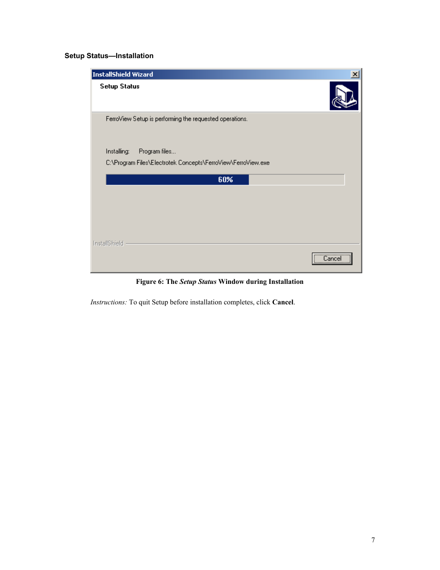#### <span id="page-9-0"></span>**Setup Status—Installation**

<span id="page-9-1"></span>

**Figure 6: The** *Setup Status* **Window during Installation** 

*Instructions:* To quit Setup before installation completes, click **Cancel**.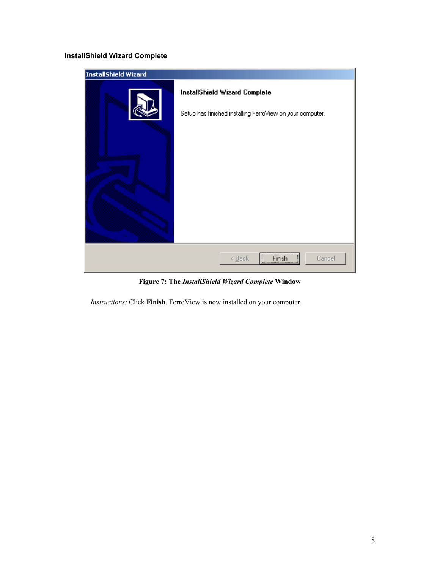#### <span id="page-10-0"></span>**InstallShield Wizard Complete**



**Figure 7: The** *InstallShield Wizard Complete* **Window** 

*Instructions:* Click **Finish**. FerroView is now installed on your computer.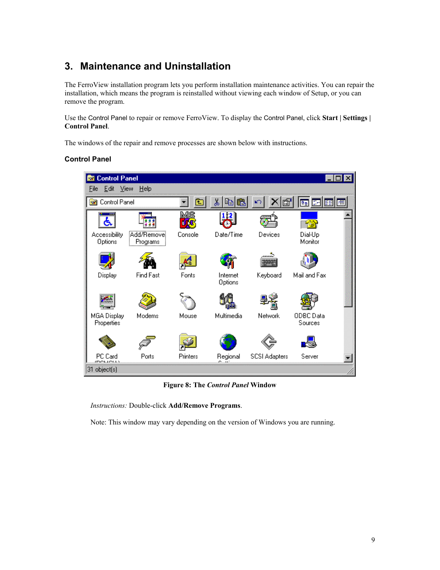## <span id="page-11-0"></span>**3. Maintenance and Uninstallation**

The FerroView installation program lets you perform installation maintenance activities. You can repair the installation, which means the program is reinstalled without viewing each window of Setup, or you can remove the program.

Use the Control Panel to repair or remove FerroView. To display the Control Panel, click **Start | Settings | Control Panel**.

The windows of the repair and remove processes are shown below with instructions.

#### **Control Panel**



**Figure 8: The** *Control Panel* **Window** 

*Instructions:* Double-click **Add/Remove Programs**.

Note: This window may vary depending on the version of Windows you are running.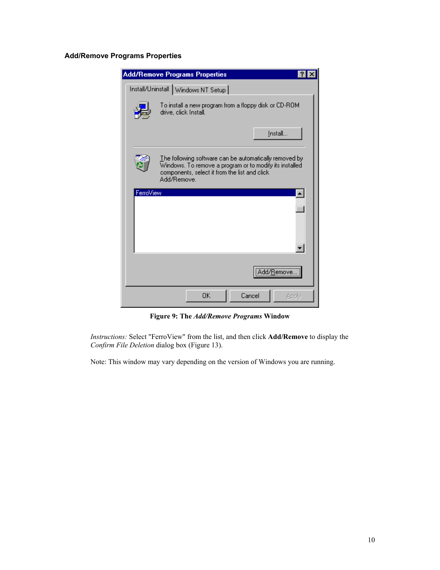#### <span id="page-12-0"></span>**Add/Remove Programs Properties**

<span id="page-12-1"></span>

**Figure 9: The** *Add/Remove Programs* **Window** 

*Instructions:* Select "FerroView" from the list, and then click **Add/Remove** to display the *Confirm File Deletion* dialog box [\(Figure 13\)](#page-16-1).

Note: This window may vary depending on the version of Windows you are running.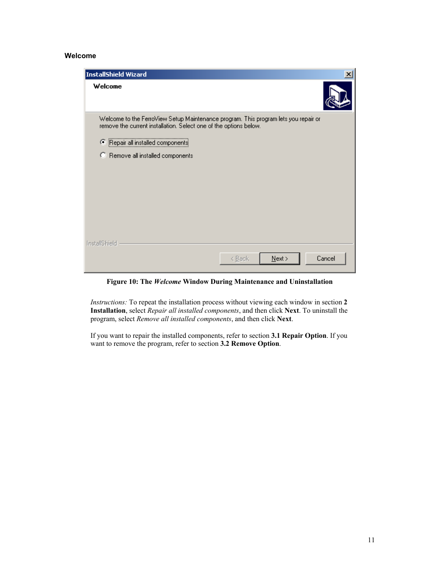#### <span id="page-13-0"></span>**Welcome**

<span id="page-13-1"></span>

| InstallShield Wizard                                                                                                                                     |                     |        |
|----------------------------------------------------------------------------------------------------------------------------------------------------------|---------------------|--------|
| Welcome                                                                                                                                                  |                     |        |
| Welcome to the FerroView Setup Maintenance program. This program lets you repair or<br>remove the current installation. Select one of the options below. |                     |        |
| Repair all installed components                                                                                                                          |                     |        |
| C Remove all installed components                                                                                                                        |                     |        |
|                                                                                                                                                          |                     |        |
|                                                                                                                                                          |                     |        |
|                                                                                                                                                          |                     |        |
|                                                                                                                                                          |                     |        |
|                                                                                                                                                          |                     |        |
| <b>InstallShield</b>                                                                                                                                     |                     |        |
|                                                                                                                                                          | $N$ ext ><br>< Back | Cancel |

**Figure 10: The** *Welcome* **Window During Maintenance and Uninstallation**

*Instructions:* To repeat the installation process without viewing each window in section **[2](#page-4-1)  [Installation](#page-4-1)**, select *Repair all installed components*, and then click **Next**. To uninstall the program, select *Remove all installed components*, and then click **Next**.

If you want to repair the installed components, refer to section **[3.1 Repair](#page-14-1) Option**. If you want to remove the program, refer to section **[3.2 Remove Option](#page-16-2)**.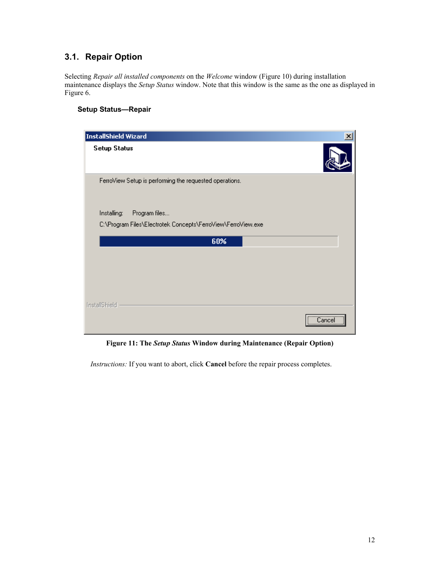### <span id="page-14-1"></span><span id="page-14-0"></span>**3.1. Repair Option**

Selecting *Repair all installed components* on the *Welcome* window [\(Figure 10\)](#page-13-1) during installation maintenance displays the *Setup Status* window. Note that this window is the same as the one as displayed in [Figure 6.](#page-9-1)

#### **Setup Status—Repair**

| InstallShield Wizard                                         | x             |
|--------------------------------------------------------------|---------------|
| <b>Setup Status</b>                                          |               |
| FerroView Setup is performing the requested operations.      |               |
| Installing:<br>Program files                                 |               |
| C:\Program Files\Electrotek Concepts\FerroView\FerroView.exe |               |
| 60%                                                          |               |
|                                                              |               |
|                                                              |               |
|                                                              |               |
|                                                              |               |
| InstallShield                                                |               |
|                                                              | <br>Cance<br> |

**Figure 11: The** *Setup Status* **Window during Maintenance (Repair Option)** 

*Instructions:* If you want to abort, click **Cancel** before the repair process completes.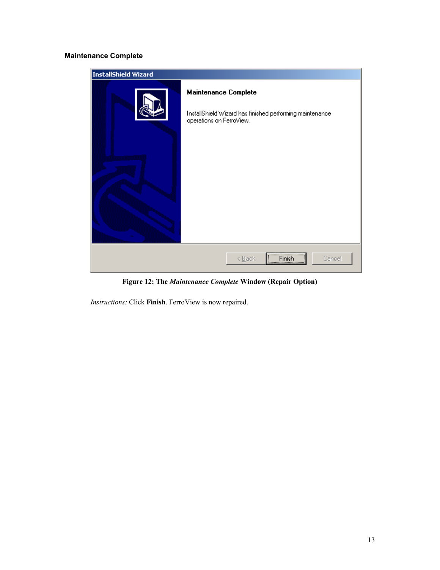#### <span id="page-15-0"></span>**Maintenance Complete**

| InstallShield Wizard |                                                                                                                     |  |
|----------------------|---------------------------------------------------------------------------------------------------------------------|--|
|                      | <b>Maintenance Complete</b><br>InstallShield Wizard has finished performing maintenance<br>operations on FerroView. |  |
|                      | <b>Finish</b><br>Cancel<br>< Back                                                                                   |  |

**Figure 12: The** *Maintenance Complete* **Window (Repair Option)** 

*Instructions:* Click **Finish**. FerroView is now repaired.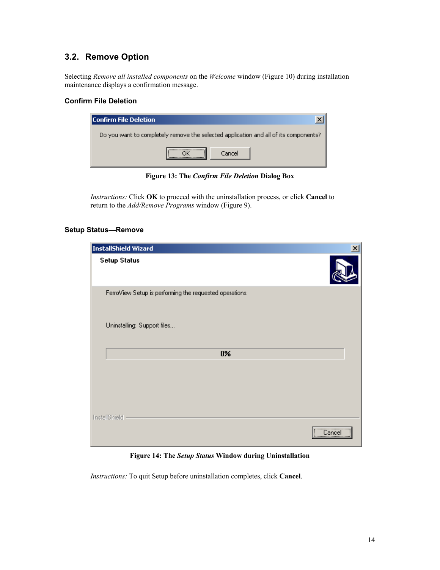### <span id="page-16-2"></span><span id="page-16-0"></span>**3.2. Remove Option**

Selecting *Remove all installed components* on the *Welcome* window [\(Figure 10\)](#page-13-1) during installation maintenance displays a confirmation message.

#### **Confirm File Deletion**

<span id="page-16-1"></span>

| <b>Confirm File Deletion</b> |                                                                                      |
|------------------------------|--------------------------------------------------------------------------------------|
|                              | Do you want to completely remove the selected application and all of its components? |
|                              | Cancel                                                                               |

**Figure 13: The** *Confirm File Deletion* **Dialog Box** 

*Instructions:* Click **OK** to proceed with the uninstallation process, or click **Cancel** to return to the *Add/Remove Programs* window [\(Figure 9\)](#page-12-1).

#### **Setup Status—Remove**

| InstallShield Wizard                                    | $\overline{\mathsf{x}}$ |
|---------------------------------------------------------|-------------------------|
| <b>Setup Status</b>                                     |                         |
| FerroView Setup is performing the requested operations. |                         |
| Uninstalling: Support files                             |                         |
| $0\%$                                                   |                         |
|                                                         |                         |
| InstallShield<br><u></u> <sub>.</sub><br>Cancel<br>     |                         |

**Figure 14: The** *Setup Status* **Window during Uninstallation** 

*Instructions:* To quit Setup before uninstallation completes, click **Cancel**.